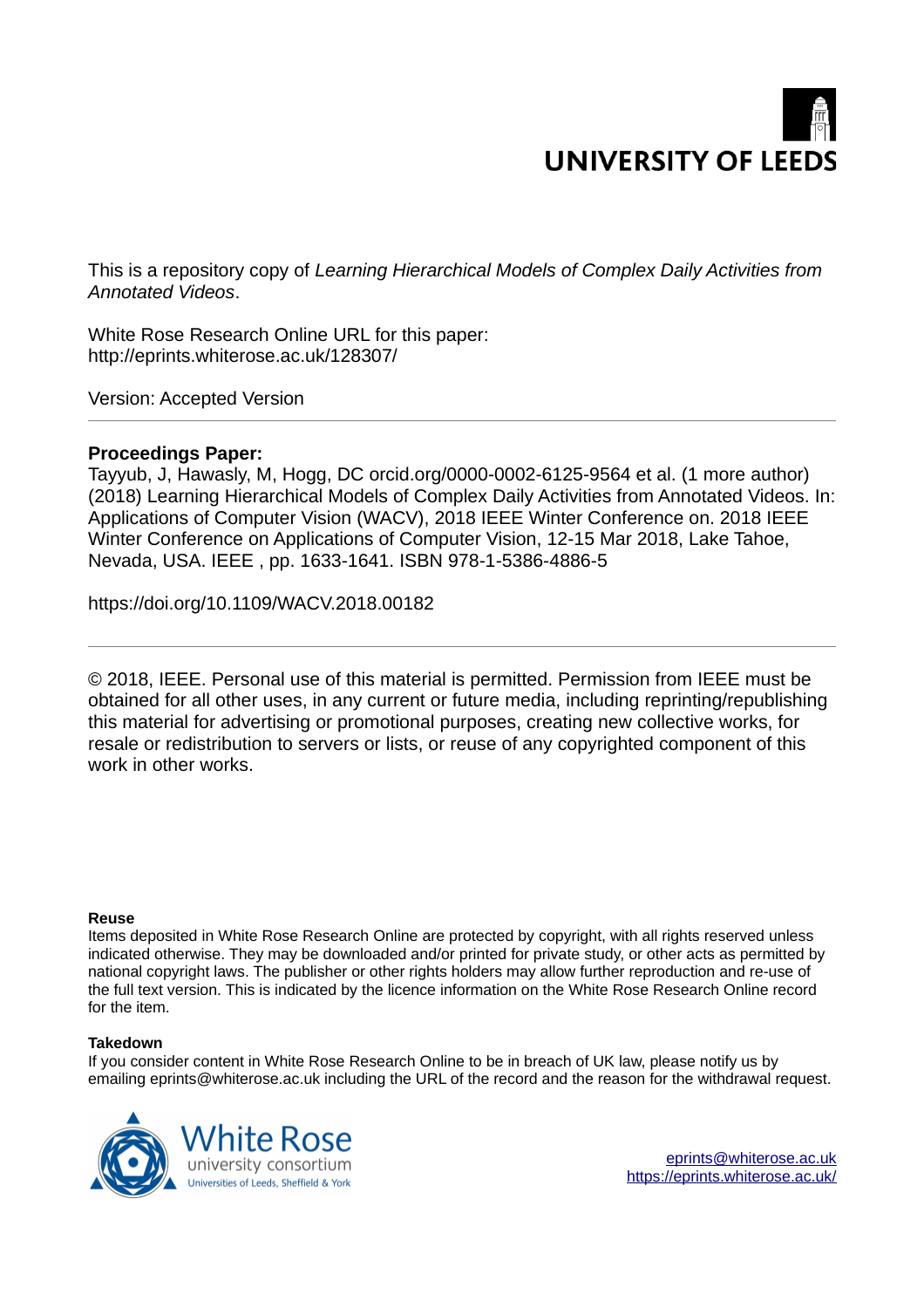# **UNIVERSITY OF LEED**

This is a repository copy of *Learning Hierarchical Models of Complex Daily Activities from Annotated Videos*.

White Rose Research Online URL for this paper: http://eprints.whiterose.ac.uk/128307/

Version: Accepted Version

### **Proceedings Paper:**

Tayyub, J, Hawasly, M, Hogg, DC orcid.org/0000-0002-6125-9564 et al. (1 more author) (2018) Learning Hierarchical Models of Complex Daily Activities from Annotated Videos. In: Applications of Computer Vision (WACV), 2018 IEEE Winter Conference on. 2018 IEEE Winter Conference on Applications of Computer Vision, 12-15 Mar 2018, Lake Tahoe, Nevada, USA. IEEE , pp. 1633-1641. ISBN 978-1-5386-4886-5

https://doi.org/10.1109/WACV.2018.00182

© 2018, IEEE. Personal use of this material is permitted. Permission from IEEE must be obtained for all other uses, in any current or future media, including reprinting/republishing this material for advertising or promotional purposes, creating new collective works, for resale or redistribution to servers or lists, or reuse of any copyrighted component of this work in other works.

#### **Reuse**

Items deposited in White Rose Research Online are protected by copyright, with all rights reserved unless indicated otherwise. They may be downloaded and/or printed for private study, or other acts as permitted by national copyright laws. The publisher or other rights holders may allow further reproduction and re-use of the full text version. This is indicated by the licence information on the White Rose Research Online record for the item.

#### **Takedown**

If you consider content in White Rose Research Online to be in breach of UK law, please notify us by emailing eprints@whiterose.ac.uk including the URL of the record and the reason for the withdrawal request.

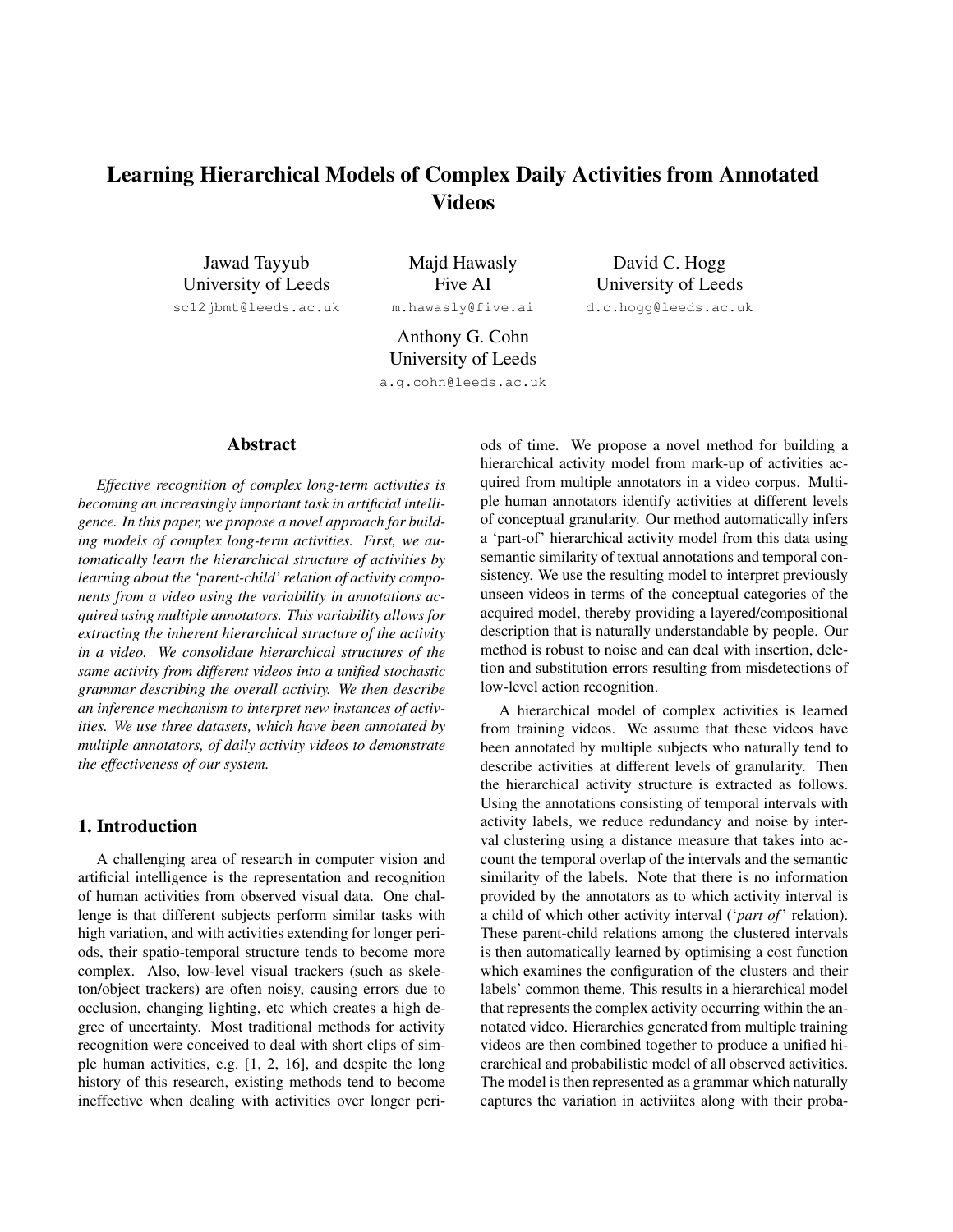## Learning Hierarchical Models of Complex Daily Activities from Annotated Videos

Jawad Tayyub University of Leeds sc12jbmt@leeds.ac.uk

Majd Hawasly Five AI m.hawasly@five.ai

David C. Hogg University of Leeds d.c.hogg@leeds.ac.uk

Anthony G. Cohn University of Leeds a.g.cohn@leeds.ac.uk

#### Abstract

*Effective recognition of complex long-term activities is becoming an increasingly important task in artificial intelligence. In this paper, we propose a novel approach for building models of complex long-term activities. First, we automatically learn the hierarchical structure of activities by learning about the 'parent-child' relation of activity components from a video using the variability in annotations acquired using multiple annotators. This variability allows for extracting the inherent hierarchical structure of the activity in a video. We consolidate hierarchical structures of the same activity from different videos into a unified stochastic grammar describing the overall activity. We then describe an inference mechanism to interpret new instances of activities. We use three datasets, which have been annotated by multiple annotators, of daily activity videos to demonstrate the effectiveness of our system.*

#### 1. Introduction

A challenging area of research in computer vision and artificial intelligence is the representation and recognition of human activities from observed visual data. One challenge is that different subjects perform similar tasks with high variation, and with activities extending for longer periods, their spatio-temporal structure tends to become more complex. Also, low-level visual trackers (such as skeleton/object trackers) are often noisy, causing errors due to occlusion, changing lighting, etc which creates a high degree of uncertainty. Most traditional methods for activity recognition were conceived to deal with short clips of simple human activities, e.g. [1, 2, 16], and despite the long history of this research, existing methods tend to become ineffective when dealing with activities over longer periods of time. We propose a novel method for building a hierarchical activity model from mark-up of activities acquired from multiple annotators in a video corpus. Multiple human annotators identify activities at different levels of conceptual granularity. Our method automatically infers a 'part-of' hierarchical activity model from this data using semantic similarity of textual annotations and temporal consistency. We use the resulting model to interpret previously unseen videos in terms of the conceptual categories of the acquired model, thereby providing a layered/compositional description that is naturally understandable by people. Our method is robust to noise and can deal with insertion, deletion and substitution errors resulting from misdetections of low-level action recognition.

A hierarchical model of complex activities is learned from training videos. We assume that these videos have been annotated by multiple subjects who naturally tend to describe activities at different levels of granularity. Then the hierarchical activity structure is extracted as follows. Using the annotations consisting of temporal intervals with activity labels, we reduce redundancy and noise by interval clustering using a distance measure that takes into account the temporal overlap of the intervals and the semantic similarity of the labels. Note that there is no information provided by the annotators as to which activity interval is a child of which other activity interval ('*part of*' relation). These parent-child relations among the clustered intervals is then automatically learned by optimising a cost function which examines the configuration of the clusters and their labels' common theme. This results in a hierarchical model that represents the complex activity occurring within the annotated video. Hierarchies generated from multiple training videos are then combined together to produce a unified hierarchical and probabilistic model of all observed activities. The model is then represented as a grammar which naturally captures the variation in activiites along with their proba-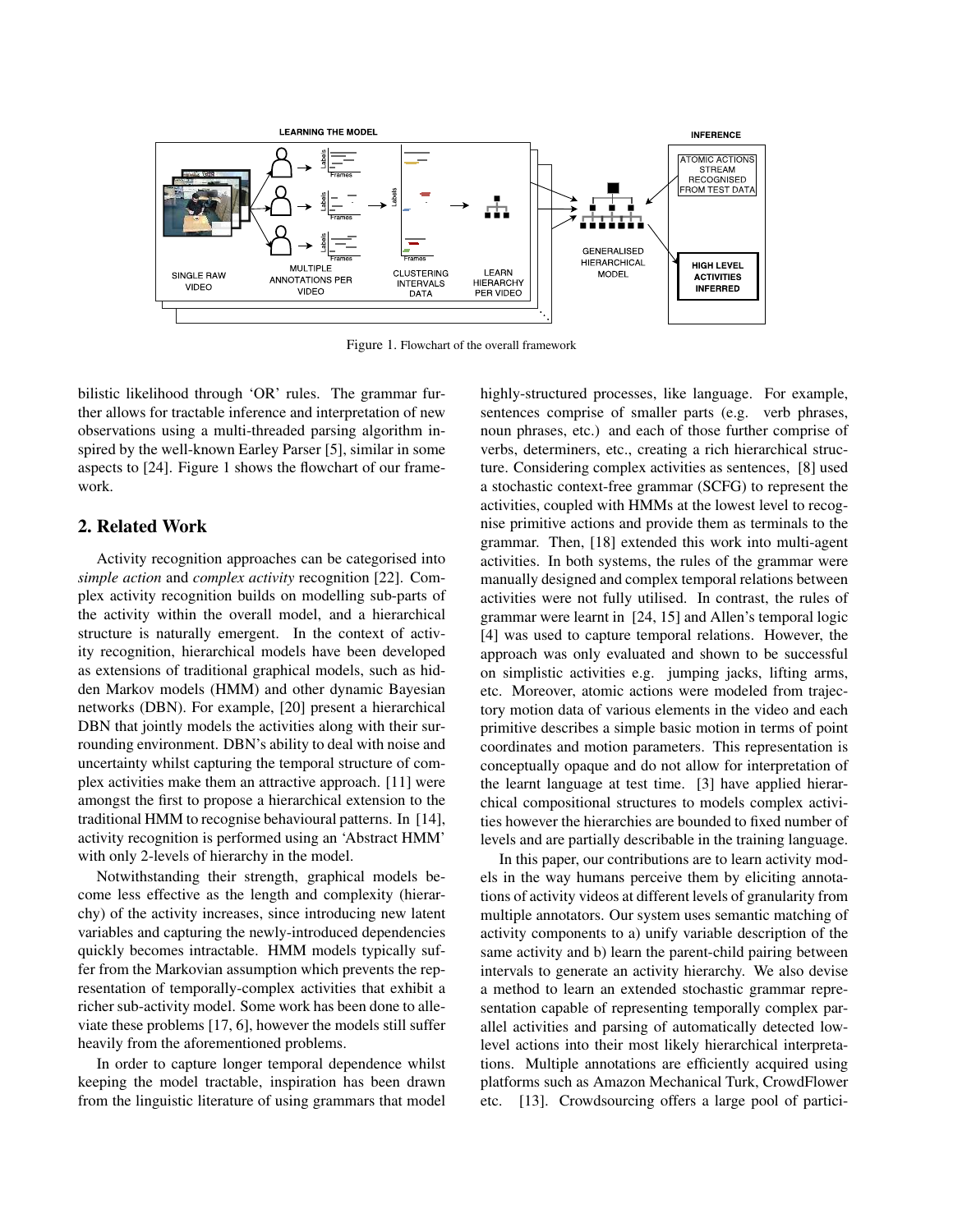

Figure 1. Flowchart of the overall framework

bilistic likelihood through 'OR' rules. The grammar further allows for tractable inference and interpretation of new observations using a multi-threaded parsing algorithm inspired by the well-known Earley Parser [5], similar in some aspects to [24]. Figure 1 shows the flowchart of our framework.

#### 2. Related Work

Activity recognition approaches can be categorised into *simple action* and *complex activity* recognition [22]. Complex activity recognition builds on modelling sub-parts of the activity within the overall model, and a hierarchical structure is naturally emergent. In the context of activity recognition, hierarchical models have been developed as extensions of traditional graphical models, such as hidden Markov models (HMM) and other dynamic Bayesian networks (DBN). For example, [20] present a hierarchical DBN that jointly models the activities along with their surrounding environment. DBN's ability to deal with noise and uncertainty whilst capturing the temporal structure of complex activities make them an attractive approach. [11] were amongst the first to propose a hierarchical extension to the traditional HMM to recognise behavioural patterns. In [14], activity recognition is performed using an 'Abstract HMM' with only 2-levels of hierarchy in the model.

Notwithstanding their strength, graphical models become less effective as the length and complexity (hierarchy) of the activity increases, since introducing new latent variables and capturing the newly-introduced dependencies quickly becomes intractable. HMM models typically suffer from the Markovian assumption which prevents the representation of temporally-complex activities that exhibit a richer sub-activity model. Some work has been done to alleviate these problems [17, 6], however the models still suffer heavily from the aforementioned problems.

In order to capture longer temporal dependence whilst keeping the model tractable, inspiration has been drawn from the linguistic literature of using grammars that model highly-structured processes, like language. For example, sentences comprise of smaller parts (e.g. verb phrases, noun phrases, etc.) and each of those further comprise of verbs, determiners, etc., creating a rich hierarchical structure. Considering complex activities as sentences, [8] used a stochastic context-free grammar (SCFG) to represent the activities, coupled with HMMs at the lowest level to recognise primitive actions and provide them as terminals to the grammar. Then, [18] extended this work into multi-agent activities. In both systems, the rules of the grammar were manually designed and complex temporal relations between activities were not fully utilised. In contrast, the rules of grammar were learnt in [24, 15] and Allen's temporal logic [4] was used to capture temporal relations. However, the approach was only evaluated and shown to be successful on simplistic activities e.g. jumping jacks, lifting arms, etc. Moreover, atomic actions were modeled from trajectory motion data of various elements in the video and each primitive describes a simple basic motion in terms of point coordinates and motion parameters. This representation is conceptually opaque and do not allow for interpretation of the learnt language at test time. [3] have applied hierarchical compositional structures to models complex activities however the hierarchies are bounded to fixed number of levels and are partially describable in the training language.

In this paper, our contributions are to learn activity models in the way humans perceive them by eliciting annotations of activity videos at different levels of granularity from multiple annotators. Our system uses semantic matching of activity components to a) unify variable description of the same activity and b) learn the parent-child pairing between intervals to generate an activity hierarchy. We also devise a method to learn an extended stochastic grammar representation capable of representing temporally complex parallel activities and parsing of automatically detected lowlevel actions into their most likely hierarchical interpretations. Multiple annotations are efficiently acquired using platforms such as Amazon Mechanical Turk, CrowdFlower etc. [13]. Crowdsourcing offers a large pool of partici-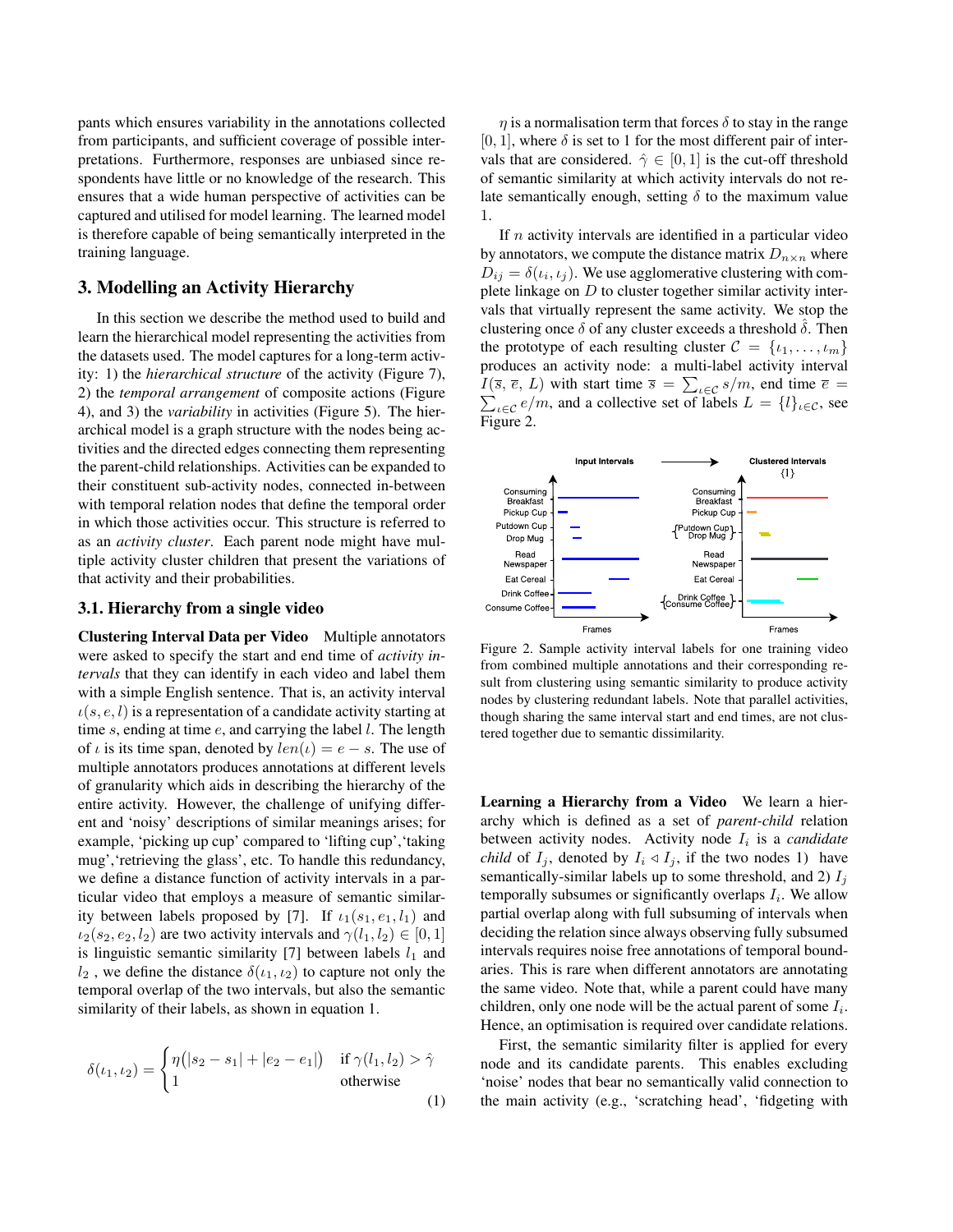pants which ensures variability in the annotations collected from participants, and sufficient coverage of possible interpretations. Furthermore, responses are unbiased since respondents have little or no knowledge of the research. This ensures that a wide human perspective of activities can be captured and utilised for model learning. The learned model is therefore capable of being semantically interpreted in the training language.

#### 3. Modelling an Activity Hierarchy

In this section we describe the method used to build and learn the hierarchical model representing the activities from the datasets used. The model captures for a long-term activity: 1) the *hierarchical structure* of the activity (Figure 7), 2) the *temporal arrangement* of composite actions (Figure 4), and 3) the *variability* in activities (Figure 5). The hierarchical model is a graph structure with the nodes being activities and the directed edges connecting them representing the parent-child relationships. Activities can be expanded to their constituent sub-activity nodes, connected in-between with temporal relation nodes that define the temporal order in which those activities occur. This structure is referred to as an *activity cluster*. Each parent node might have multiple activity cluster children that present the variations of that activity and their probabilities.

#### 3.1. Hierarchy from a single video

Clustering Interval Data per Video Multiple annotators were asked to specify the start and end time of *activity intervals* that they can identify in each video and label them with a simple English sentence. That is, an activity interval  $u(s, e, l)$  is a representation of a candidate activity starting at time s, ending at time  $e$ , and carrying the label  $l$ . The length of  $\iota$  is its time span, denoted by  $len(\iota) = e - s$ . The use of multiple annotators produces annotations at different levels of granularity which aids in describing the hierarchy of the entire activity. However, the challenge of unifying different and 'noisy' descriptions of similar meanings arises; for example, 'picking up cup' compared to 'lifting cup','taking mug', 'retrieving the glass', etc. To handle this redundancy, we define a distance function of activity intervals in a particular video that employs a measure of semantic similarity between labels proposed by [7]. If  $\iota_1(s_1, e_1, l_1)$  and  $i_2(s_2, e_2, l_2)$  are two activity intervals and  $\gamma(l_1, l_2) \in [0, 1]$ is linguistic semantic similarity [7] between labels  $l_1$  and  $l_2$ , we define the distance  $\delta(\iota_1, \iota_2)$  to capture not only the temporal overlap of the two intervals, but also the semantic similarity of their labels, as shown in equation 1.

$$
\delta(\iota_1, \iota_2) = \begin{cases} \eta(|s_2 - s_1| + |e_2 - e_1|) & \text{if } \gamma(l_1, l_2) > \hat{\gamma} \\ 1 & \text{otherwise} \end{cases}
$$
(1)

 $\eta$  is a normalisation term that forces  $\delta$  to stay in the range [0, 1], where  $\delta$  is set to 1 for the most different pair of intervals that are considered.  $\hat{\gamma} \in [0, 1]$  is the cut-off threshold of semantic similarity at which activity intervals do not relate semantically enough, setting  $\delta$  to the maximum value 1.

If  $n$  activity intervals are identified in a particular video by annotators, we compute the distance matrix  $D_{n \times n}$  where  $D_{ij} = \delta(t_i, t_j)$ . We use agglomerative clustering with complete linkage on  $D$  to cluster together similar activity intervals that virtually represent the same activity. We stop the clustering once  $\delta$  of any cluster exceeds a threshold  $\delta$ . Then the prototype of each resulting cluster  $\mathcal{C} = \{i_1, \ldots, i_m\}$ produces an activity node: a multi-label activity interval  $I(\bar{s}, \bar{e}, L)$  with start time  $\bar{s} = \sum_{\iota \in \mathcal{C}} s/m$ , end time  $\bar{e} =$  $\sum_{\iota \in \mathcal{C}} e/m$ , and a collective set of labels  $L = \{l\}_{\iota \in \mathcal{C}}$ , see Figure 2.



Figure 2. Sample activity interval labels for one training video from combined multiple annotations and their corresponding result from clustering using semantic similarity to produce activity nodes by clustering redundant labels. Note that parallel activities, though sharing the same interval start and end times, are not clustered together due to semantic dissimilarity.

Learning a Hierarchy from a Video We learn a hierarchy which is defined as a set of *parent-child* relation between activity nodes. Activity node  $I_i$  is a *candidate child* of  $I_i$ , denoted by  $I_i \triangleleft I_j$ , if the two nodes 1) have semantically-similar labels up to some threshold, and 2)  $I_i$ temporally subsumes or significantly overlaps  $I_i$ . We allow partial overlap along with full subsuming of intervals when deciding the relation since always observing fully subsumed intervals requires noise free annotations of temporal boundaries. This is rare when different annotators are annotating the same video. Note that, while a parent could have many children, only one node will be the actual parent of some  $I_i$ . Hence, an optimisation is required over candidate relations.

First, the semantic similarity filter is applied for every node and its candidate parents. This enables excluding 'noise' nodes that bear no semantically valid connection to the main activity (e.g., 'scratching head', 'fidgeting with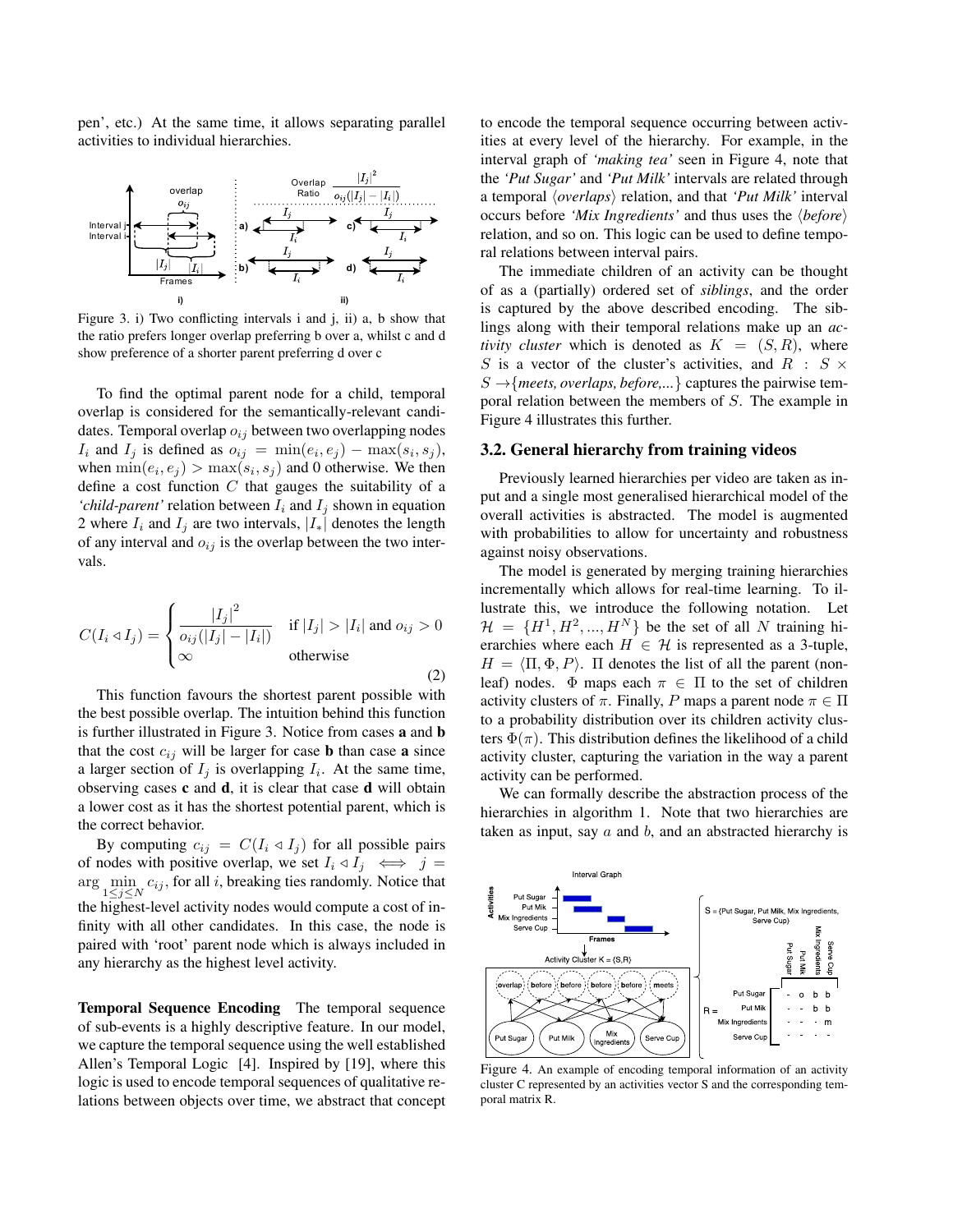pen', etc.) At the same time, it allows separating parallel activities to individual hierarchies.



Figure 3. i) Two conflicting intervals i and j, ii) a, b show that the ratio prefers longer overlap preferring b over a, whilst c and d show preference of a shorter parent preferring d over c

To find the optimal parent node for a child, temporal overlap is considered for the semantically-relevant candidates. Temporal overlap  $o_{ij}$  between two overlapping nodes  $I_i$  and  $I_j$  is defined as  $o_{ij} = \min(e_i, e_j) - \max(s_i, s_j)$ , when  $\min(e_i, e_j) > \max(s_i, s_j)$  and 0 otherwise. We then define a cost function  $C$  that gauges the suitability of a '*child-parent'* relation between  $I_i$  and  $I_j$  shown in equation 2 where  $I_i$  and  $I_j$  are two intervals,  $|I_*|$  denotes the length of any interval and  $o_{ij}$  is the overlap between the two intervals.

$$
C(I_i \triangleleft I_j) = \begin{cases} \frac{|I_j|^2}{o_{ij}(|I_j| - |I_i|)} & \text{if } |I_j| > |I_i| \text{ and } o_{ij} > 0\\ \infty & \text{otherwise} \end{cases}
$$
 (2)

This function favours the shortest parent possible with the best possible overlap. The intuition behind this function is further illustrated in Figure 3. Notice from cases a and b that the cost  $c_{ij}$  will be larger for case **b** than case **a** since a larger section of  $I_j$  is overlapping  $I_i$ . At the same time, observing cases  $c$  and  $d$ , it is clear that case  $d$  will obtain a lower cost as it has the shortest potential parent, which is the correct behavior.

By computing  $c_{ij} = C(I_i \triangleleft I_j)$  for all possible pairs of nodes with positive overlap, we set  $I_i \triangleleft I_j \iff j =$ arg  $\min_{1 \leq j \leq N} c_{ij}$ , for all i, breaking ties randomly. Notice that the highest-level activity nodes would compute a cost of infinity with all other candidates. In this case, the node is paired with 'root' parent node which is always included in any hierarchy as the highest level activity.

Temporal Sequence Encoding The temporal sequence of sub-events is a highly descriptive feature. In our model, we capture the temporal sequence using the well established Allen's Temporal Logic [4]. Inspired by [19], where this logic is used to encode temporal sequences of qualitative relations between objects over time, we abstract that concept to encode the temporal sequence occurring between activities at every level of the hierarchy. For example, in the interval graph of *'making tea'* seen in Figure 4, note that the *'Put Sugar'* and *'Put Milk'* intervals are related through a temporal *(overlaps)* relation, and that *'Put Milk'* interval occurs before *'Mix Ingredients'* and thus uses the  $\langle before \rangle$ relation, and so on. This logic can be used to define temporal relations between interval pairs.

The immediate children of an activity can be thought of as a (partially) ordered set of *siblings*, and the order is captured by the above described encoding. The siblings along with their temporal relations make up an *activity cluster* which is denoted as  $K = (S, R)$ , where S is a vector of the cluster's activities, and R :  $S \times$  $S \rightarrow$ {*meets, overlaps, before,...*} captures the pairwise temporal relation between the members of S. The example in Figure 4 illustrates this further.

#### 3.2. General hierarchy from training videos

Previously learned hierarchies per video are taken as input and a single most generalised hierarchical model of the overall activities is abstracted. The model is augmented with probabilities to allow for uncertainty and robustness against noisy observations.

The model is generated by merging training hierarchies incrementally which allows for real-time learning. To illustrate this, we introduce the following notation. Let  $\mathcal{H} = \{H^1, H^2, ..., H^N\}$  be the set of all N training hierarchies where each  $H \in \mathcal{H}$  is represented as a 3-tuple,  $H = \langle \Pi, \Phi, P \rangle$ .  $\Pi$  denotes the list of all the parent (nonleaf) nodes.  $\Phi$  maps each  $\pi \in \Pi$  to the set of children activity clusters of  $\pi$ . Finally, P maps a parent node  $\pi \in \Pi$ to a probability distribution over its children activity clusters  $\Phi(\pi)$ . This distribution defines the likelihood of a child activity cluster, capturing the variation in the way a parent activity can be performed.

We can formally describe the abstraction process of the hierarchies in algorithm 1. Note that two hierarchies are taken as input, say  $a$  and  $b$ , and an abstracted hierarchy is



Figure 4. An example of encoding temporal information of an activity cluster C represented by an activities vector S and the corresponding temporal matrix R.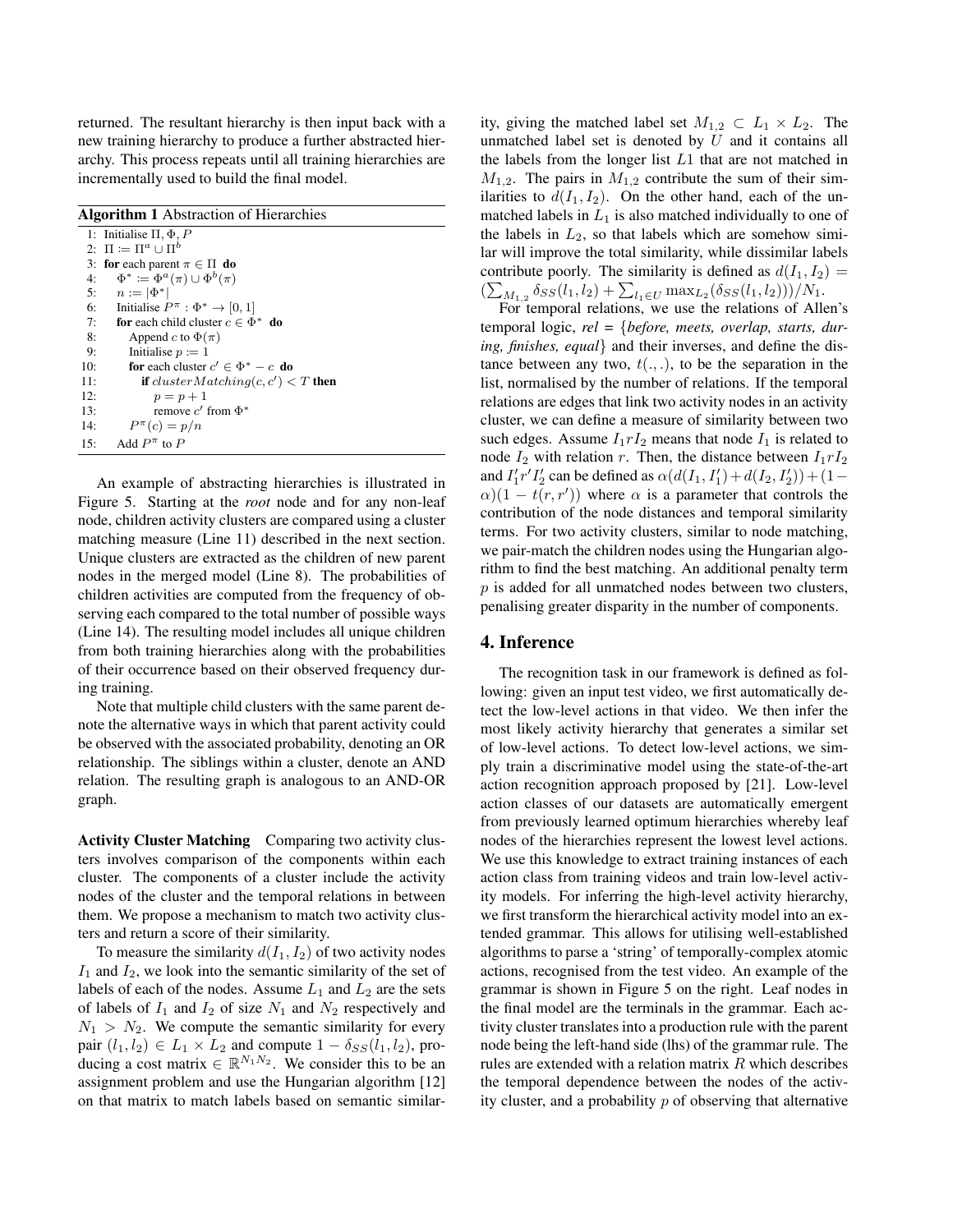returned. The resultant hierarchy is then input back with a new training hierarchy to produce a further abstracted hierarchy. This process repeats until all training hierarchies are incrementally used to build the final model.

| <b>Algorithm 1</b> Abstraction of Hierarchies |                                                       |  |  |
|-----------------------------------------------|-------------------------------------------------------|--|--|
|                                               | 1: Initialise $\Pi, \Phi, P$                          |  |  |
|                                               | 2: $\Pi \coloneqq \Pi^a \cup \Pi^b$                   |  |  |
|                                               | 3: for each parent $\pi \in \Pi$ do                   |  |  |
| 4:                                            | $\Phi^* := \Phi^a(\pi) \cup \Phi^b(\pi)$              |  |  |
| 5:                                            | $n :=  \Phi^* $                                       |  |  |
| 6:                                            | Initialise $P^{\pi}$ : $\Phi^* \rightarrow [0, 1]$    |  |  |
| 7:                                            | for each child cluster $c \in \Phi^*$ do              |  |  |
| 8:                                            | Append c to $\Phi(\pi)$                               |  |  |
| 9:                                            | Initialise $p := 1$                                   |  |  |
| 10:                                           | <b>for</b> each cluster $c' \in \Phi^* - c$ <b>do</b> |  |  |
| 11:                                           | <b>if</b> cluster Matching(c, c') $\lt T$ then        |  |  |
| 12:                                           | $p=p+1$                                               |  |  |
| 13:                                           | remove c' from $\Phi^*$                               |  |  |
| 14:                                           | $P^{\pi}(c) = p/n$                                    |  |  |
| 15:                                           | Add $P^{\pi}$ to P                                    |  |  |

An example of abstracting hierarchies is illustrated in Figure 5. Starting at the *root* node and for any non-leaf node, children activity clusters are compared using a cluster matching measure (Line 11) described in the next section. Unique clusters are extracted as the children of new parent nodes in the merged model (Line 8). The probabilities of children activities are computed from the frequency of observing each compared to the total number of possible ways (Line 14). The resulting model includes all unique children from both training hierarchies along with the probabilities of their occurrence based on their observed frequency during training.

Note that multiple child clusters with the same parent denote the alternative ways in which that parent activity could be observed with the associated probability, denoting an OR relationship. The siblings within a cluster, denote an AND relation. The resulting graph is analogous to an AND-OR graph.

Activity Cluster Matching Comparing two activity clusters involves comparison of the components within each cluster. The components of a cluster include the activity nodes of the cluster and the temporal relations in between them. We propose a mechanism to match two activity clusters and return a score of their similarity.

To measure the similarity  $d(I_1, I_2)$  of two activity nodes  $I_1$  and  $I_2$ , we look into the semantic similarity of the set of labels of each of the nodes. Assume  $L_1$  and  $L_2$  are the sets of labels of  $I_1$  and  $I_2$  of size  $N_1$  and  $N_2$  respectively and  $N_1 > N_2$ . We compute the semantic similarity for every pair  $(l_1, l_2) \in L_1 \times L_2$  and compute  $1 - \delta_{SS}(l_1, l_2)$ , producing a cost matrix  $\in \mathbb{R}^{N_1 N_2}$ . We consider this to be an assignment problem and use the Hungarian algorithm [12] on that matrix to match labels based on semantic similarity, giving the matched label set  $M_{1,2} \subset L_1 \times L_2$ . The unmatched label set is denoted by  $U$  and it contains all the labels from the longer list L1 that are not matched in  $M_{1,2}$ . The pairs in  $M_{1,2}$  contribute the sum of their similarities to  $d(I_1, I_2)$ . On the other hand, each of the unmatched labels in  $L_1$  is also matched individually to one of the labels in  $L_2$ , so that labels which are somehow similar will improve the total similarity, while dissimilar labels contribute poorly. The similarity is defined as  $d(I_1, I_2) =$  $\left(\sum_{M_{1,2}} \delta_{SS}(l_1, l_2) + \sum_{l_1 \in U} \max_{L_2} (\delta_{SS}(l_1, l_2))\right)/N_1.$ 

For temporal relations, we use the relations of Allen's temporal logic, *rel =* {*before, meets, overlap, starts, during, finishes, equal*} and their inverses, and define the distance between any two,  $t(.,.)$ , to be the separation in the list, normalised by the number of relations. If the temporal relations are edges that link two activity nodes in an activity cluster, we can define a measure of similarity between two such edges. Assume  $I_1rI_2$  means that node  $I_1$  is related to node  $I_2$  with relation r. Then, the distance between  $I_1rI_2$ and  $I'_1 r' I'_2$  can be defined as  $\alpha(d(I_1, I'_1) + d(I_2, I'_2)) + (1 \alpha$ )(1 – t(r, r')) where  $\alpha$  is a parameter that controls the contribution of the node distances and temporal similarity terms. For two activity clusters, similar to node matching, we pair-match the children nodes using the Hungarian algorithm to find the best matching. An additional penalty term  $p$  is added for all unmatched nodes between two clusters, penalising greater disparity in the number of components.

#### 4. Inference

The recognition task in our framework is defined as following: given an input test video, we first automatically detect the low-level actions in that video. We then infer the most likely activity hierarchy that generates a similar set of low-level actions. To detect low-level actions, we simply train a discriminative model using the state-of-the-art action recognition approach proposed by [21]. Low-level action classes of our datasets are automatically emergent from previously learned optimum hierarchies whereby leaf nodes of the hierarchies represent the lowest level actions. We use this knowledge to extract training instances of each action class from training videos and train low-level activity models. For inferring the high-level activity hierarchy, we first transform the hierarchical activity model into an extended grammar. This allows for utilising well-established algorithms to parse a 'string' of temporally-complex atomic actions, recognised from the test video. An example of the grammar is shown in Figure 5 on the right. Leaf nodes in the final model are the terminals in the grammar. Each activity cluster translates into a production rule with the parent node being the left-hand side (lhs) of the grammar rule. The rules are extended with a relation matrix  $R$  which describes the temporal dependence between the nodes of the activity cluster, and a probability  $p$  of observing that alternative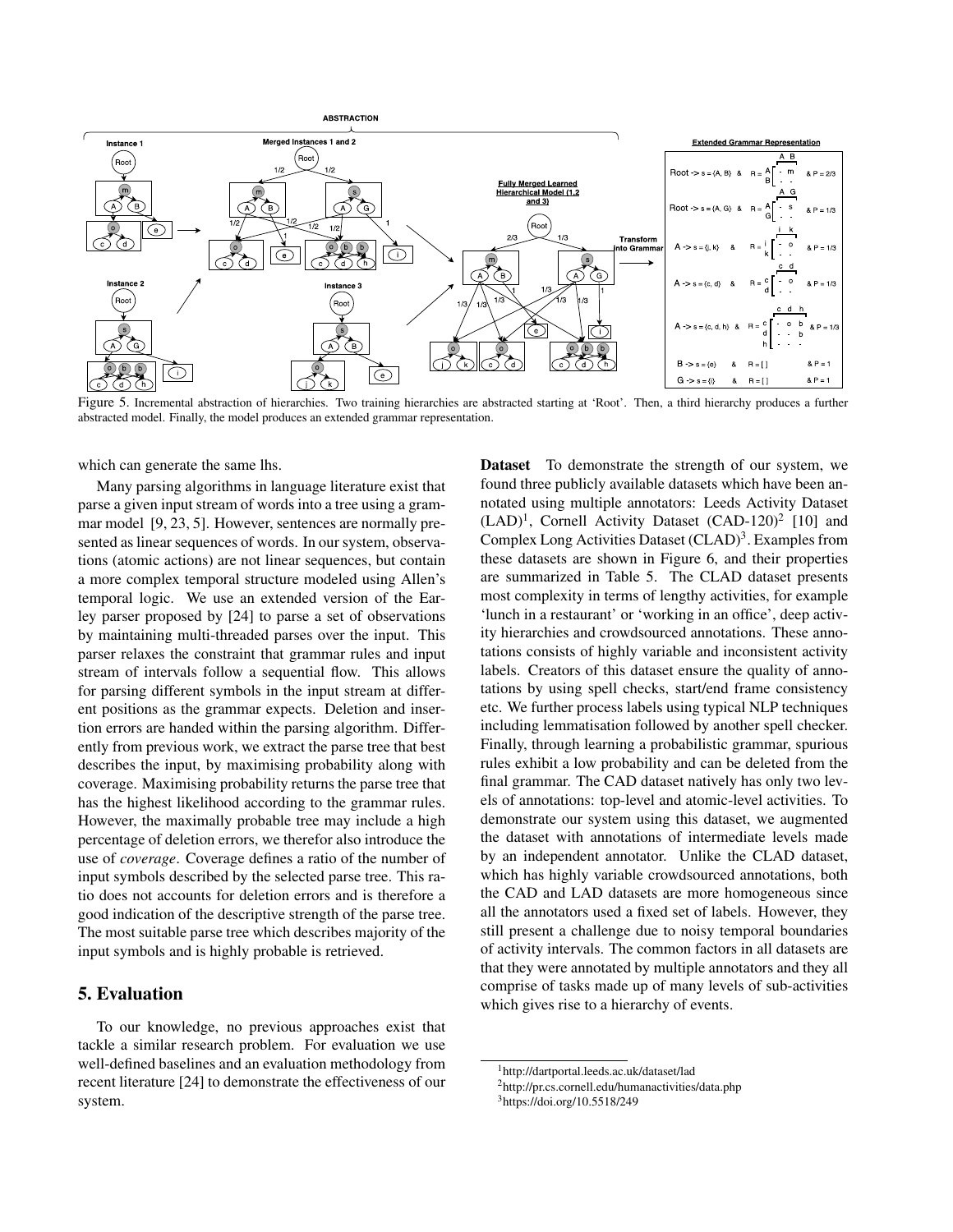![](_page_6_Figure_0.jpeg)

Figure 5. Incremental abstraction of hierarchies. Two training hierarchies are abstracted starting at 'Root'. Then, a third hierarchy produces a further abstracted model. Finally, the model produces an extended grammar representation.

which can generate the same lhs.

Many parsing algorithms in language literature exist that parse a given input stream of words into a tree using a grammar model [9, 23, 5]. However, sentences are normally presented as linear sequences of words. In our system, observations (atomic actions) are not linear sequences, but contain a more complex temporal structure modeled using Allen's temporal logic. We use an extended version of the Earley parser proposed by [24] to parse a set of observations by maintaining multi-threaded parses over the input. This parser relaxes the constraint that grammar rules and input stream of intervals follow a sequential flow. This allows for parsing different symbols in the input stream at different positions as the grammar expects. Deletion and insertion errors are handed within the parsing algorithm. Differently from previous work, we extract the parse tree that best describes the input, by maximising probability along with coverage. Maximising probability returns the parse tree that has the highest likelihood according to the grammar rules. However, the maximally probable tree may include a high percentage of deletion errors, we therefor also introduce the use of *coverage*. Coverage defines a ratio of the number of input symbols described by the selected parse tree. This ratio does not accounts for deletion errors and is therefore a good indication of the descriptive strength of the parse tree. The most suitable parse tree which describes majority of the input symbols and is highly probable is retrieved.

#### 5. Evaluation

To our knowledge, no previous approaches exist that tackle a similar research problem. For evaluation we use well-defined baselines and an evaluation methodology from recent literature [24] to demonstrate the effectiveness of our system.

Dataset To demonstrate the strength of our system, we found three publicly available datasets which have been annotated using multiple annotators: Leeds Activity Dataset (LAD)<sup>1</sup>, Cornell Activity Dataset (CAD-120)<sup>2</sup> [10] and Complex Long Activities Dataset (CLAD)<sup>3</sup>. Examples from these datasets are shown in Figure 6, and their properties are summarized in Table 5. The CLAD dataset presents most complexity in terms of lengthy activities, for example 'lunch in a restaurant' or 'working in an office', deep activity hierarchies and crowdsourced annotations. These annotations consists of highly variable and inconsistent activity labels. Creators of this dataset ensure the quality of annotations by using spell checks, start/end frame consistency etc. We further process labels using typical NLP techniques including lemmatisation followed by another spell checker. Finally, through learning a probabilistic grammar, spurious rules exhibit a low probability and can be deleted from the final grammar. The CAD dataset natively has only two levels of annotations: top-level and atomic-level activities. To demonstrate our system using this dataset, we augmented the dataset with annotations of intermediate levels made by an independent annotator. Unlike the CLAD dataset, which has highly variable crowdsourced annotations, both the CAD and LAD datasets are more homogeneous since all the annotators used a fixed set of labels. However, they still present a challenge due to noisy temporal boundaries of activity intervals. The common factors in all datasets are that they were annotated by multiple annotators and they all comprise of tasks made up of many levels of sub-activities which gives rise to a hierarchy of events.

<sup>1</sup>http://dartportal.leeds.ac.uk/dataset/lad

<sup>2</sup>http://pr.cs.cornell.edu/humanactivities/data.php

<sup>3</sup>https://doi.org/10.5518/249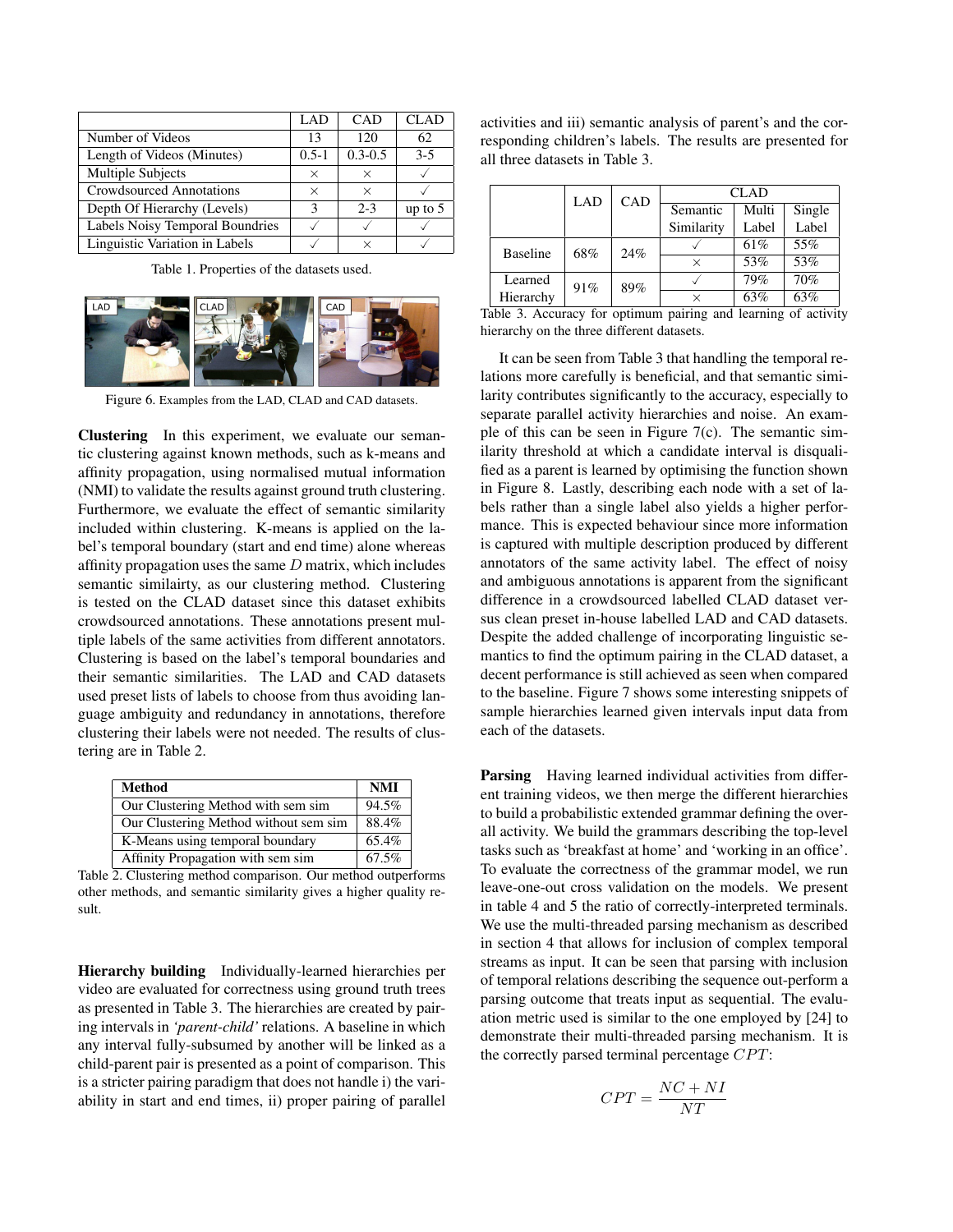|                                 | LAD       | CAD         | CLAD      |
|---------------------------------|-----------|-------------|-----------|
| Number of Videos                | 13        | 120         | 62        |
| Length of Videos (Minutes)      | $0.5 - 1$ | $0.3 - 0.5$ | $3-5$     |
| Multiple Subjects               | $\times$  | ×           |           |
| Crowdsourced Annotations        | $\times$  | $\times$    |           |
| Depth Of Hierarchy (Levels)     | 2         | $2 - 3$     | up to $5$ |
| Labels Noisy Temporal Boundries |           |             |           |
| Linguistic Variation in Labels  |           | $\times$    |           |

Table 1. Properties of the datasets used.

![](_page_7_Picture_2.jpeg)

Figure 6. Examples from the LAD, CLAD and CAD datasets.

Clustering In this experiment, we evaluate our semantic clustering against known methods, such as k-means and affinity propagation, using normalised mutual information (NMI) to validate the results against ground truth clustering. Furthermore, we evaluate the effect of semantic similarity included within clustering. K-means is applied on the label's temporal boundary (start and end time) alone whereas affinity propagation uses the same  $D$  matrix, which includes semantic similairty, as our clustering method. Clustering is tested on the CLAD dataset since this dataset exhibits crowdsourced annotations. These annotations present multiple labels of the same activities from different annotators. Clustering is based on the label's temporal boundaries and their semantic similarities. The LAD and CAD datasets used preset lists of labels to choose from thus avoiding language ambiguity and redundancy in annotations, therefore clustering their labels were not needed. The results of clustering are in Table 2.

| Method                                | <b>NMI</b> |
|---------------------------------------|------------|
| Our Clustering Method with sem sim    | 94.5%      |
| Our Clustering Method without sem sim | 88.4%      |
| K-Means using temporal boundary       | 65.4%      |
| Affinity Propagation with sem sim     | 67.5%      |

Table 2. Clustering method comparison. Our method outperforms other methods, and semantic similarity gives a higher quality result.

Hierarchy building Individually-learned hierarchies per video are evaluated for correctness using ground truth trees as presented in Table 3. The hierarchies are created by pairing intervals in *'parent-child'* relations. A baseline in which any interval fully-subsumed by another will be linked as a child-parent pair is presented as a point of comparison. This is a stricter pairing paradigm that does not handle i) the variability in start and end times, ii) proper pairing of parallel activities and iii) semantic analysis of parent's and the corresponding children's labels. The results are presented for all three datasets in Table 3.

|                                                      | LAD | CAD | <b>CLAD</b> |       |        |
|------------------------------------------------------|-----|-----|-------------|-------|--------|
|                                                      |     |     | Semantic    | Multi | Single |
|                                                      |     |     | Similarity  | Label | Label  |
| <b>Baseline</b>                                      | 68% | 24% |             | 61%   | 55%    |
|                                                      |     |     | $\times$    | 53%   | 53%    |
| Learned                                              | 91% | 89% |             | 79%   | 70%    |
| Hierarchy                                            |     |     | X           | 63%   | 63%    |
| . .<br>r 1 1<br>$\mathbf{r}$<br>$\sim$<br><b>1 1</b> |     |     |             |       |        |

Table 3. Accuracy for optimum pairing and learning of activity hierarchy on the three different datasets.

It can be seen from Table 3 that handling the temporal relations more carefully is beneficial, and that semantic similarity contributes significantly to the accuracy, especially to separate parallel activity hierarchies and noise. An example of this can be seen in Figure 7(c). The semantic similarity threshold at which a candidate interval is disqualified as a parent is learned by optimising the function shown in Figure 8. Lastly, describing each node with a set of labels rather than a single label also yields a higher performance. This is expected behaviour since more information is captured with multiple description produced by different annotators of the same activity label. The effect of noisy and ambiguous annotations is apparent from the significant difference in a crowdsourced labelled CLAD dataset versus clean preset in-house labelled LAD and CAD datasets. Despite the added challenge of incorporating linguistic semantics to find the optimum pairing in the CLAD dataset, a decent performance is still achieved as seen when compared to the baseline. Figure 7 shows some interesting snippets of sample hierarchies learned given intervals input data from each of the datasets.

**Parsing** Having learned individual activities from different training videos, we then merge the different hierarchies to build a probabilistic extended grammar defining the overall activity. We build the grammars describing the top-level tasks such as 'breakfast at home' and 'working in an office'. To evaluate the correctness of the grammar model, we run leave-one-out cross validation on the models. We present in table 4 and 5 the ratio of correctly-interpreted terminals. We use the multi-threaded parsing mechanism as described in section 4 that allows for inclusion of complex temporal streams as input. It can be seen that parsing with inclusion of temporal relations describing the sequence out-perform a parsing outcome that treats input as sequential. The evaluation metric used is similar to the one employed by [24] to demonstrate their multi-threaded parsing mechanism. It is the correctly parsed terminal percentage  $CPT$ :

$$
CPT = \frac{NC + NI}{NT}
$$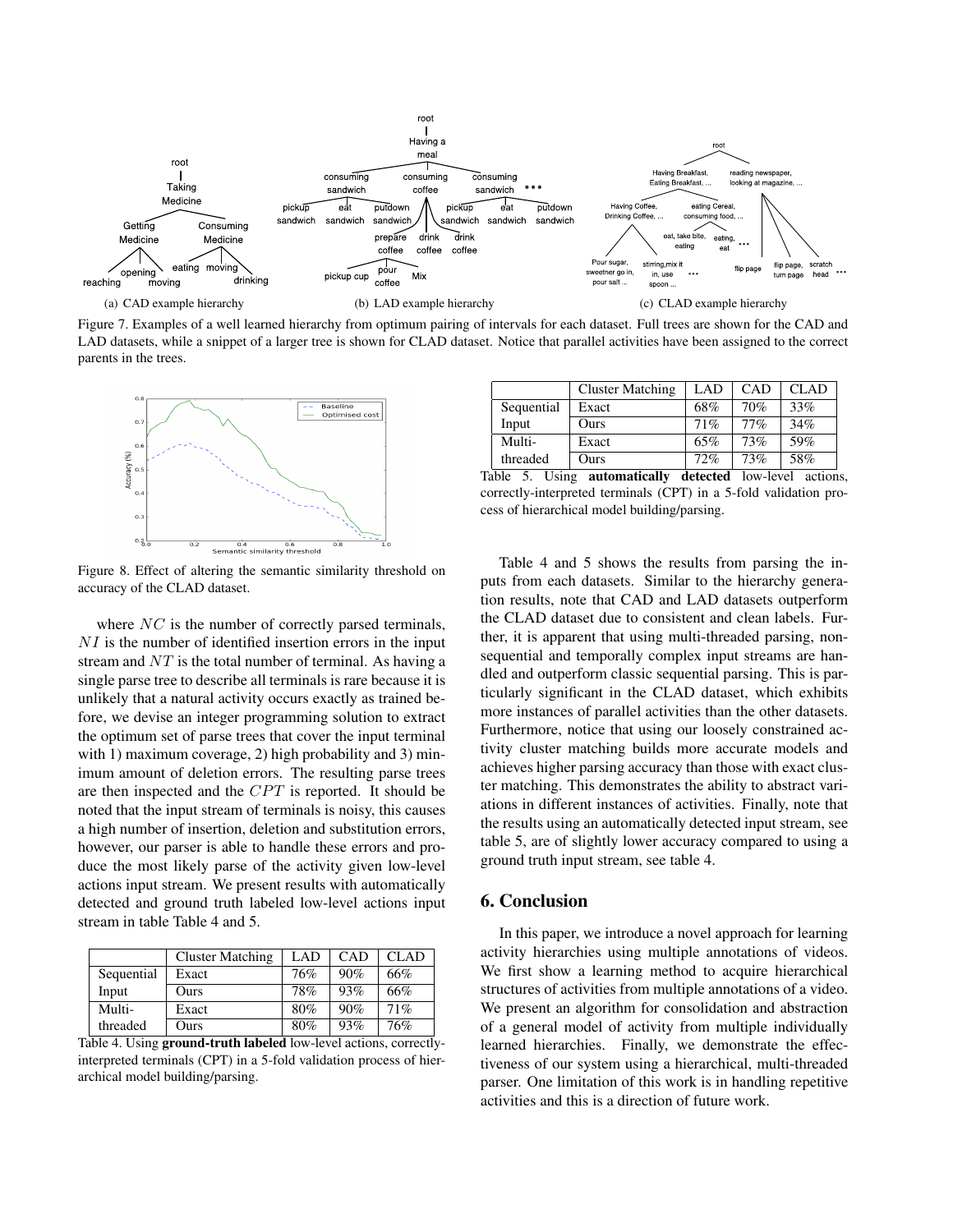![](_page_8_Figure_0.jpeg)

Figure 7. Examples of a well learned hierarchy from optimum pairing of intervals for each dataset. Full trees are shown for the CAD and LAD datasets, while a snippet of a larger tree is shown for CLAD dataset. Notice that parallel activities have been assigned to the correct parents in the trees.

![](_page_8_Figure_2.jpeg)

Figure 8. Effect of altering the semantic similarity threshold on accuracy of the CLAD dataset.

where  $NC$  is the number of correctly parsed terminals,  $NI$  is the number of identified insertion errors in the input stream and  $NT$  is the total number of terminal. As having a single parse tree to describe all terminals is rare because it is unlikely that a natural activity occurs exactly as trained before, we devise an integer programming solution to extract the optimum set of parse trees that cover the input terminal with 1) maximum coverage, 2) high probability and 3) minimum amount of deletion errors. The resulting parse trees are then inspected and the  $CPT$  is reported. It should be noted that the input stream of terminals is noisy, this causes a high number of insertion, deletion and substitution errors, however, our parser is able to handle these errors and produce the most likely parse of the activity given low-level actions input stream. We present results with automatically detected and ground truth labeled low-level actions input stream in table Table 4 and 5.

|            | <b>Cluster Matching</b> | LAD | <b>CAD</b> | <b>CLAD</b> |
|------------|-------------------------|-----|------------|-------------|
| Sequential | Exact                   | 76% | 90%        | 66%         |
| Input      | Ours                    | 78% | 93%        | 66%         |
| Multi-     | Exact                   | 80% | 90%        | 71%         |
| threaded   | Ours                    | 80% | 93%        | 76%         |

Table 4. Using ground-truth labeled low-level actions, correctlyinterpreted terminals (CPT) in a 5-fold validation process of hierarchical model building/parsing.

|                     | <b>Cluster Matching</b> | LAD | <b>CAD</b> | <b>CLAD</b> |
|---------------------|-------------------------|-----|------------|-------------|
| Sequential<br>Exact |                         | 68% | 70%        | 33%         |
| Input               | Ours                    | 71% | 77%        | 34%         |
| Multi-              | Exact                   | 65% | 73%        | 59%         |
| threaded            | Ours                    | 72% | 73%        | 58%         |

Table 5. Using automatically detected low-level actions, correctly-interpreted terminals (CPT) in a 5-fold validation process of hierarchical model building/parsing.

Table 4 and 5 shows the results from parsing the inputs from each datasets. Similar to the hierarchy generation results, note that CAD and LAD datasets outperform the CLAD dataset due to consistent and clean labels. Further, it is apparent that using multi-threaded parsing, nonsequential and temporally complex input streams are handled and outperform classic sequential parsing. This is particularly significant in the CLAD dataset, which exhibits more instances of parallel activities than the other datasets. Furthermore, notice that using our loosely constrained activity cluster matching builds more accurate models and achieves higher parsing accuracy than those with exact cluster matching. This demonstrates the ability to abstract variations in different instances of activities. Finally, note that the results using an automatically detected input stream, see table 5, are of slightly lower accuracy compared to using a ground truth input stream, see table 4.

#### 6. Conclusion

In this paper, we introduce a novel approach for learning activity hierarchies using multiple annotations of videos. We first show a learning method to acquire hierarchical structures of activities from multiple annotations of a video. We present an algorithm for consolidation and abstraction of a general model of activity from multiple individually learned hierarchies. Finally, we demonstrate the effectiveness of our system using a hierarchical, multi-threaded parser. One limitation of this work is in handling repetitive activities and this is a direction of future work.